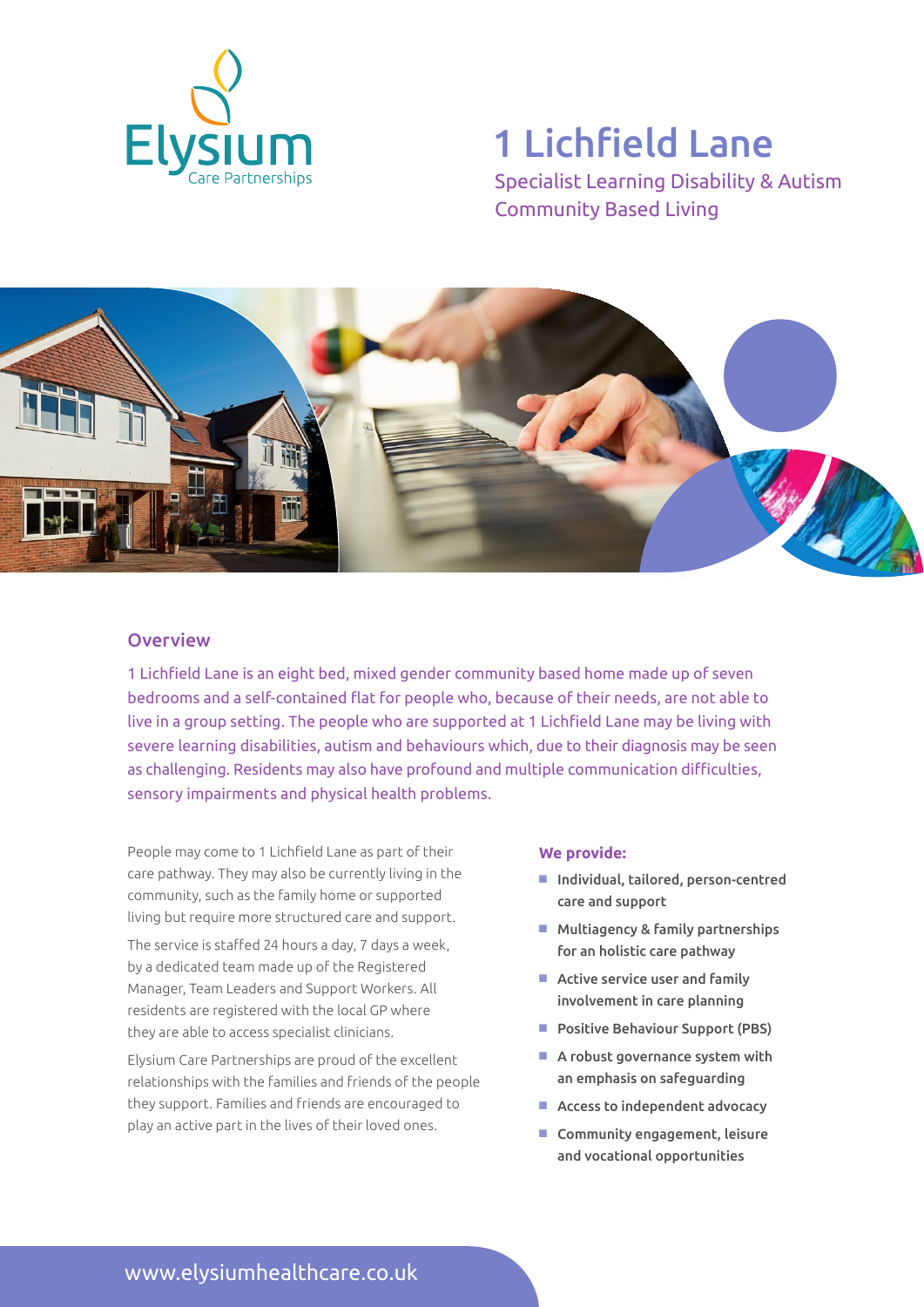

# 1 Lichfield Lane

Specialist Learning Disability & Autism Community Based Living



### **Overview**

1 Lichfield Lane is an eight bed, mixed gender community based home made up of seven bedrooms and a self-contained flat for people who, because of their needs, are not able to live in a group setting. The people who are supported at 1 Lichfield Lane may be living with severe learning disabilities, autism and behaviours which, due to their diagnosis may be seen as challenging. Residents may also have profound and multiple communication difficulties, sensory impairments and physical health problems.

People may come to 1 Lichfield Lane as part of their care pathway. They may also be currently living in the community, such as the family home or supported living but require more structured care and support.

The service is staffed 24 hours a day, 7 days a week, by a dedicated team made up of the Registered Manager, Team Leaders and Support Workers. All residents are registered with the local GP where they are able to access specialist clinicians.

Elysium Care Partnerships are proud of the excellent relationships with the families and friends of the people they support. Families and friends are encouraged to play an active part in the lives of their loved ones.

#### **We provide:**

- Individual, tailored, person-centred care and support
- $M$  Multiagency & family partnerships for an holistic care pathway
- $\blacksquare$  Active service user and family involvement in care planning
- **Positive Behaviour Support (PBS)**
- $\blacksquare$  A robust governance system with an emphasis on safeguarding
- $\blacksquare$  Access to independent advocacy
- Community engagement, leisure and vocational opportunities

www.elysiumhealthcare.co.uk